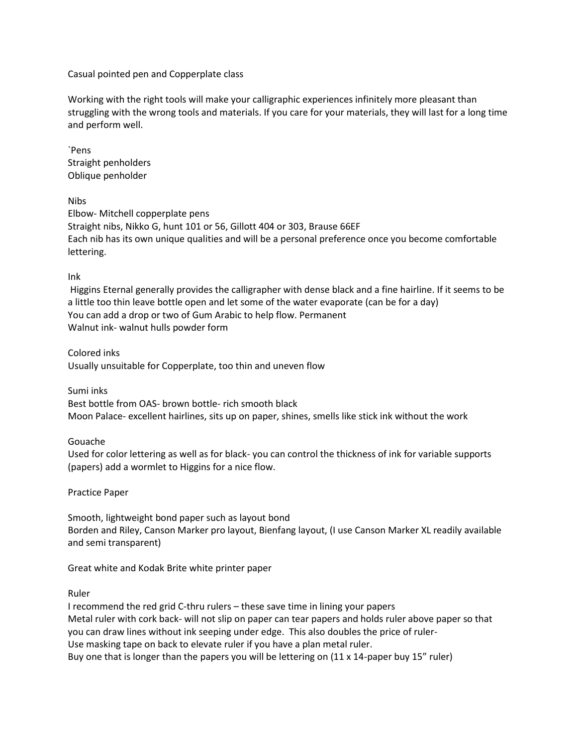Casual pointed pen and Copperplate class

Working with the right tools will make your calligraphic experiences infinitely more pleasant than struggling with the wrong tools and materials. If you care for your materials, they will last for a long time and perform well.

`Pens Straight penholders Oblique penholder

## Nibs

Elbow- Mitchell copperplate pens Straight nibs, Nikko G, hunt 101 or 56, Gillott 404 or 303, Brause 66EF Each nib has its own unique qualities and will be a personal preference once you become comfortable lettering.

## Ink

Higgins Eternal generally provides the calligrapher with dense black and a fine hairline. If it seems to be a little too thin leave bottle open and let some of the water evaporate (can be for a day) You can add a drop or two of Gum Arabic to help flow. Permanent Walnut ink- walnut hulls powder form

Colored inks

Usually unsuitable for Copperplate, too thin and uneven flow

Sumi inks

Best bottle from OAS- brown bottle- rich smooth black Moon Palace- excellent hairlines, sits up on paper, shines, smells like stick ink without the work

## Gouache

Used for color lettering as well as for black- you can control the thickness of ink for variable supports (papers) add a wormlet to Higgins for a nice flow.

Practice Paper

Smooth, lightweight bond paper such as layout bond Borden and Riley, Canson Marker pro layout, Bienfang layout, (I use Canson Marker XL readily available and semi transparent)

Great white and Kodak Brite white printer paper

Ruler

I recommend the red grid C-thru rulers – these save time in lining your papers Metal ruler with cork back- will not slip on paper can tear papers and holds ruler above paper so that you can draw lines without ink seeping under edge. This also doubles the price of ruler-Use masking tape on back to elevate ruler if you have a plan metal ruler. Buy one that is longer than the papers you will be lettering on (11 x 14-paper buy 15" ruler)